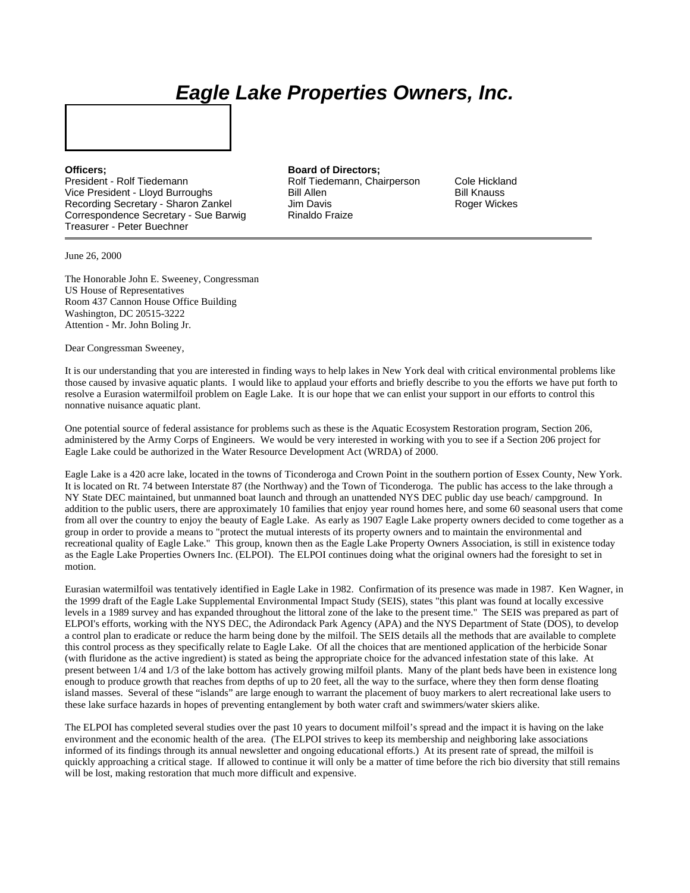## *Eagle Lake Properties Owners, Inc.*

President - Rolf Tiedemann Rolf Tiedemann, Chairperson Cole Hickland Vice President - Lloyd Burroughs Bill Allen Bill Knauss Recording Secretary - Sharon Zankel Correspondence Secretary - Sue Barwig Rinaldo Fraize Treasurer - Peter Buechner

**Officers: Board of Directors:** 

June 26, 2000

The Honorable John E. Sweeney, Congressman US House of Representatives Room 437 Cannon House Office Building Washington, DC 20515-3222 Attention - Mr. John Boling Jr.

Dear Congressman Sweeney,

It is our understanding that you are interested in finding ways to help lakes in New York deal with critical environmental problems like those caused by invasive aquatic plants. I would like to applaud your efforts and briefly describe to you the efforts we have put forth to resolve a Eurasion watermilfoil problem on Eagle Lake. It is our hope that we can enlist your support in our efforts to control this nonnative nuisance aquatic plant.

One potential source of federal assistance for problems such as these is the Aquatic Ecosystem Restoration program, Section 206, administered by the Army Corps of Engineers. We would be very interested in working with you to see if a Section 206 project for Eagle Lake could be authorized in the Water Resource Development Act (WRDA) of 2000.

Eagle Lake is a 420 acre lake, located in the towns of Ticonderoga and Crown Point in the southern portion of Essex County, New York. It is located on Rt. 74 between Interstate 87 (the Northway) and the Town of Ticonderoga. The public has access to the lake through a NY State DEC maintained, but unmanned boat launch and through an unattended NYS DEC public day use beach/ campground. In addition to the public users, there are approximately 10 families that enjoy year round homes here, and some 60 seasonal users that come from all over the country to enjoy the beauty of Eagle Lake. As early as 1907 Eagle Lake property owners decided to come together as a group in order to provide a means to "protect the mutual interests of its property owners and to maintain the environmental and recreational quality of Eagle Lake." This group, known then as the Eagle Lake Property Owners Association, is still in existence today as the Eagle Lake Properties Owners Inc. (ELPOI). The ELPOI continues doing what the original owners had the foresight to set in motion.

Eurasian watermilfoil was tentatively identified in Eagle Lake in 1982. Confirmation of its presence was made in 1987. Ken Wagner, in the 1999 draft of the Eagle Lake Supplemental Environmental Impact Study (SEIS), states "this plant was found at locally excessive levels in a 1989 survey and has expanded throughout the littoral zone of the lake to the present time." The SEIS was prepared as part of ELPOI's efforts, working with the NYS DEC, the Adirondack Park Agency (APA) and the NYS Department of State (DOS), to develop a control plan to eradicate or reduce the harm being done by the milfoil. The SEIS details all the methods that are available to complete this control process as they specifically relate to Eagle Lake. Of all the choices that are mentioned application of the herbicide Sonar (with fluridone as the active ingredient) is stated as being the appropriate choice for the advanced infestation state of this lake. At present between 1/4 and 1/3 of the lake bottom has actively growing milfoil plants. Many of the plant beds have been in existence long enough to produce growth that reaches from depths of up to 20 feet, all the way to the surface, where they then form dense floating island masses. Several of these "islands" are large enough to warrant the placement of buoy markers to alert recreational lake users to these lake surface hazards in hopes of preventing entanglement by both water craft and swimmers/water skiers alike.

The ELPOI has completed several studies over the past 10 years to document milfoil's spread and the impact it is having on the lake environment and the economic health of the area. (The ELPOI strives to keep its membership and neighboring lake associations informed of its findings through its annual newsletter and ongoing educational efforts.) At its present rate of spread, the milfoil is quickly approaching a critical stage. If allowed to continue it will only be a matter of time before the rich bio diversity that still remains will be lost, making restoration that much more difficult and expensive.